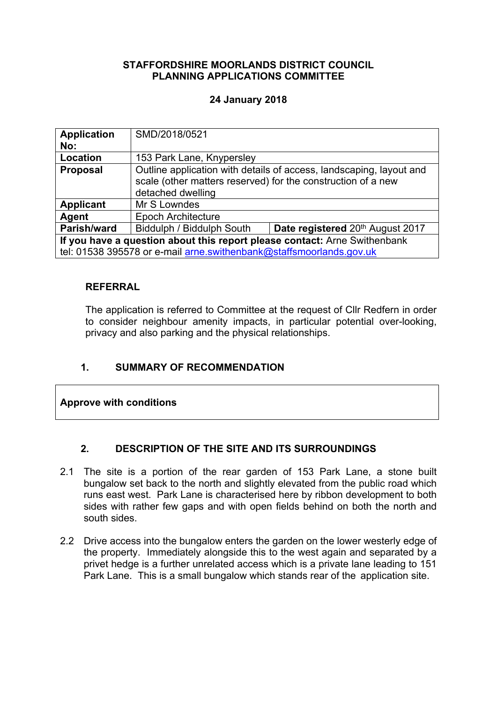#### **STAFFORDSHIRE MOORLANDS DISTRICT COUNCIL PLANNING APPLICATIONS COMMITTEE**

### **24 January 2018**

| <b>Application</b>                                                        | SMD/2018/0521                                                                                                                                            |                                  |
|---------------------------------------------------------------------------|----------------------------------------------------------------------------------------------------------------------------------------------------------|----------------------------------|
| No:                                                                       |                                                                                                                                                          |                                  |
| Location                                                                  | 153 Park Lane, Knypersley                                                                                                                                |                                  |
| <b>Proposal</b>                                                           | Outline application with details of access, landscaping, layout and<br>scale (other matters reserved) for the construction of a new<br>detached dwelling |                                  |
| <b>Applicant</b>                                                          | Mr S Lowndes                                                                                                                                             |                                  |
| Agent                                                                     | <b>Epoch Architecture</b>                                                                                                                                |                                  |
| Parish/ward                                                               | Biddulph / Biddulph South                                                                                                                                | Date registered 20th August 2017 |
| If you have a question about this report please contact: Arne Swithenbank |                                                                                                                                                          |                                  |
| tel: 01538 395578 or e-mail arne.swithenbank@staffsmoorlands.gov.uk       |                                                                                                                                                          |                                  |

### **REFERRAL**

The application is referred to Committee at the request of Cllr Redfern in order to consider neighbour amenity impacts, in particular potential over-looking, privacy and also parking and the physical relationships.

## **1. SUMMARY OF RECOMMENDATION**

#### **Approve with conditions**

## **2. DESCRIPTION OF THE SITE AND ITS SURROUNDINGS**

- 2.1 The site is a portion of the rear garden of 153 Park Lane, a stone built bungalow set back to the north and slightly elevated from the public road which runs east west. Park Lane is characterised here by ribbon development to both sides with rather few gaps and with open fields behind on both the north and south sides.
- 2.2 Drive access into the bungalow enters the garden on the lower westerly edge of the property. Immediately alongside this to the west again and separated by a privet hedge is a further unrelated access which is a private lane leading to 151 Park Lane. This is a small bungalow which stands rear of the application site.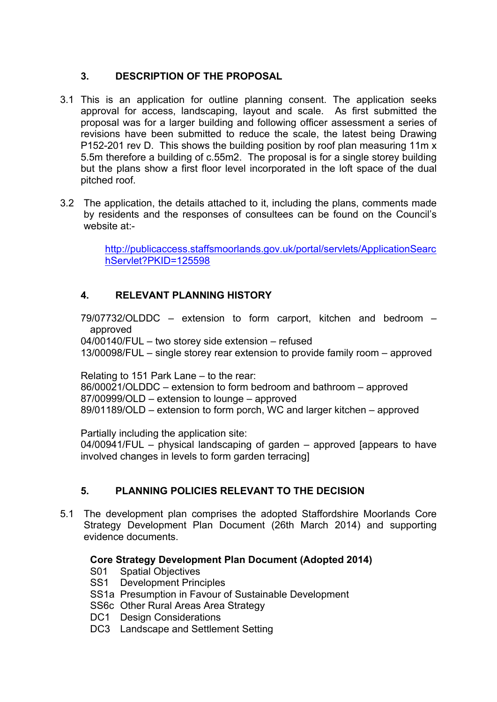# **3. DESCRIPTION OF THE PROPOSAL**

- 3.1 This is an application for outline planning consent. The application seeks approval for access, landscaping, layout and scale. As first submitted the proposal was for a larger building and following officer assessment a series of revisions have been submitted to reduce the scale, the latest being Drawing P152-201 rev D. This shows the building position by roof plan measuring 11m x 5.5m therefore a building of c.55m2. The proposal is for a single storey building but the plans show a first floor level incorporated in the loft space of the dual pitched roof.
- 3.2 The application, the details attached to it, including the plans, comments made by residents and the responses of consultees can be found on the Council's website at:-

[http://publicaccess.staffsmoorlands.gov.uk/portal/servlets/ApplicationSearc](http://publicaccess.staffsmoorlands.gov.uk/portal/servlets/ApplicationSearchServlet?PKID=125598) [hServlet?PKID=125598](http://publicaccess.staffsmoorlands.gov.uk/portal/servlets/ApplicationSearchServlet?PKID=125598)

## **4. RELEVANT PLANNING HISTORY**

79/07732/OLDDC – extension to form carport, kitchen and bedroom – approved

04/00140/FUL – two storey side extension – refused

13/00098/FUL – single storey rear extension to provide family room – approved

Relating to 151 Park Lane – to the rear: 86/00021/OLDDC – extension to form bedroom and bathroom – approved 87/00999/OLD – extension to lounge – approved 89/01189/OLD – extension to form porch, WC and larger kitchen – approved

Partially including the application site:

04/00941/FUL – physical landscaping of garden – approved [appears to have involved changes in levels to form garden terracing]

## **5. PLANNING POLICIES RELEVANT TO THE DECISION**

5.1 The development plan comprises the adopted Staffordshire Moorlands Core Strategy Development Plan Document (26th March 2014) and supporting evidence documents.

#### **Core Strategy Development Plan Document (Adopted 2014)**

- S01 Spatial Objectives
- SS1 Development Principles
- SS1a Presumption in Favour of Sustainable Development
- SS6c Other Rural Areas Area Strategy
- DC1 Design Considerations
- DC3 Landscape and Settlement Setting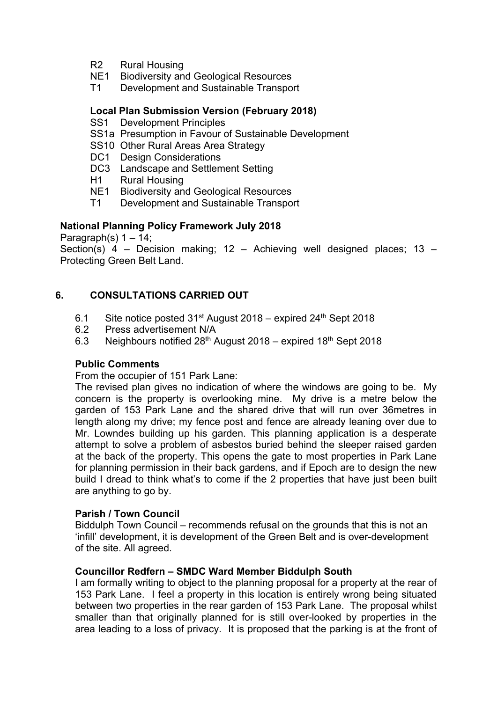- R2 Rural Housing
- NE1 Biodiversity and Geological Resources
- T1 Development and Sustainable Transport

#### **Local Plan Submission Version (February 2018)**

- SS1 Development Principles
- SS1a Presumption in Favour of Sustainable Development
- SS10 Other Rural Areas Area Strategy
- DC1 Design Considerations
- DC3 Landscape and Settlement Setting
- H1 Rural Housing
- NE1 Biodiversity and Geological Resources
- T1 Development and Sustainable Transport

### **National Planning Policy Framework July 2018**

Paragraph(s)  $1 - 14$ ;

Section(s) 4 – Decision making; 12 – Achieving well designed places; 13 – Protecting Green Belt Land.

## **6. CONSULTATIONS CARRIED OUT**

- 6.1 Site notice posted 31st August 2018 expired 24th Sept 2018
- 6.2 Press advertisement N/A
- 6.3 Neighbours notified  $28<sup>th</sup>$  August 2018 expired 18<sup>th</sup> Sept 2018

#### **Public Comments**

From the occupier of 151 Park Lane:

The revised plan gives no indication of where the windows are going to be. My concern is the property is overlooking mine. My drive is a metre below the garden of 153 Park Lane and the shared drive that will run over 36metres in length along my drive; my fence post and fence are already leaning over due to Mr. Lowndes building up his garden. This planning application is a desperate attempt to solve a problem of asbestos buried behind the sleeper raised garden at the back of the property. This opens the gate to most properties in Park Lane for planning permission in their back gardens, and if Epoch are to design the new build I dread to think what's to come if the 2 properties that have just been built are anything to go by.

#### **Parish / Town Council**

Biddulph Town Council – recommends refusal on the grounds that this is not an 'infill' development, it is development of the Green Belt and is over-development of the site. All agreed.

#### **Councillor Redfern – SMDC Ward Member Biddulph South**

I am formally writing to object to the planning proposal for a property at the rear of 153 Park Lane. I feel a property in this location is entirely wrong being situated between two properties in the rear garden of 153 Park Lane. The proposal whilst smaller than that originally planned for is still over-looked by properties in the area leading to a loss of privacy. It is proposed that the parking is at the front of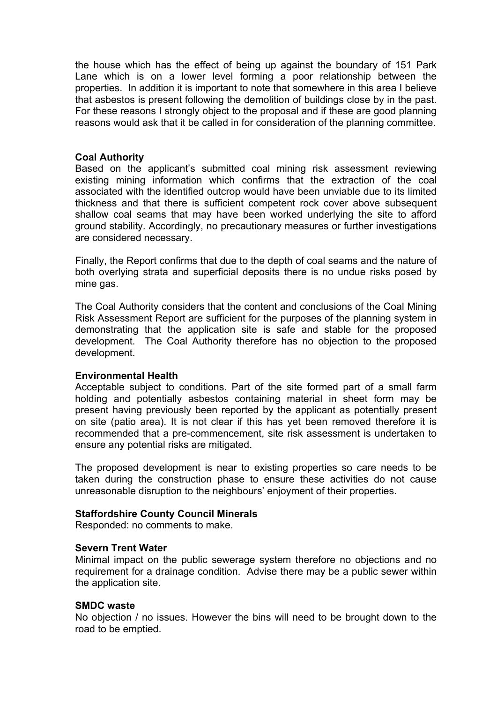the house which has the effect of being up against the boundary of 151 Park Lane which is on a lower level forming a poor relationship between the properties. In addition it is important to note that somewhere in this area I believe that asbestos is present following the demolition of buildings close by in the past. For these reasons I strongly object to the proposal and if these are good planning reasons would ask that it be called in for consideration of the planning committee.

#### **Coal Authority**

Based on the applicant's submitted coal mining risk assessment reviewing existing mining information which confirms that the extraction of the coal associated with the identified outcrop would have been unviable due to its limited thickness and that there is sufficient competent rock cover above subsequent shallow coal seams that may have been worked underlying the site to afford ground stability. Accordingly, no precautionary measures or further investigations are considered necessary.

Finally, the Report confirms that due to the depth of coal seams and the nature of both overlying strata and superficial deposits there is no undue risks posed by mine gas.

The Coal Authority considers that the content and conclusions of the Coal Mining Risk Assessment Report are sufficient for the purposes of the planning system in demonstrating that the application site is safe and stable for the proposed development. The Coal Authority therefore has no objection to the proposed development.

#### **Environmental Health**

Acceptable subject to conditions. Part of the site formed part of a small farm holding and potentially asbestos containing material in sheet form may be present having previously been reported by the applicant as potentially present on site (patio area). It is not clear if this has yet been removed therefore it is recommended that a pre-commencement, site risk assessment is undertaken to ensure any potential risks are mitigated.

The proposed development is near to existing properties so care needs to be taken during the construction phase to ensure these activities do not cause unreasonable disruption to the neighbours' enjoyment of their properties.

#### **Staffordshire County Council Minerals**

Responded: no comments to make.

#### **Severn Trent Water**

Minimal impact on the public sewerage system therefore no objections and no requirement for a drainage condition. Advise there may be a public sewer within the application site.

#### **SMDC waste**

No objection / no issues. However the bins will need to be brought down to the road to be emptied.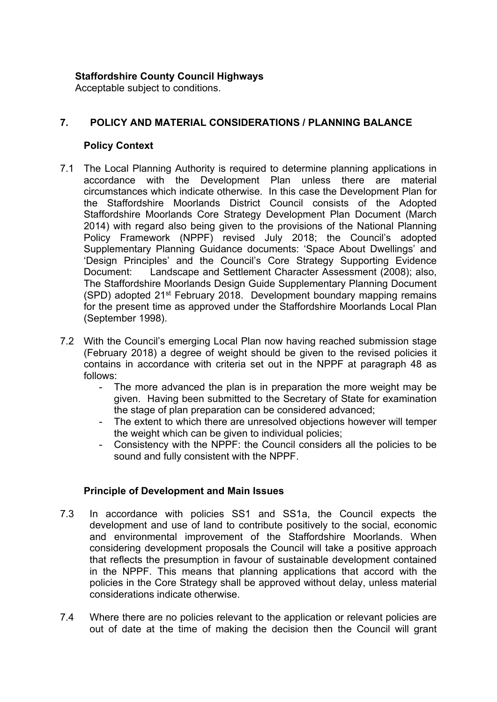### **Staffordshire County Council Highways**

Acceptable subject to conditions.

#### **7. POLICY AND MATERIAL CONSIDERATIONS / PLANNING BALANCE**

#### **Policy Context**

- 7.1 The Local Planning Authority is required to determine planning applications in accordance with the Development Plan unless there are material circumstances which indicate otherwise. In this case the Development Plan for the Staffordshire Moorlands District Council consists of the Adopted Staffordshire Moorlands Core Strategy Development Plan Document (March 2014) with regard also being given to the provisions of the National Planning Policy Framework (NPPF) revised July 2018; the Council's adopted Supplementary Planning Guidance documents: 'Space About Dwellings' and 'Design Principles' and the Council's Core Strategy Supporting Evidence Document: Landscape and Settlement Character Assessment (2008); also, The Staffordshire Moorlands Design Guide Supplementary Planning Document (SPD) adopted 21st February 2018. Development boundary mapping remains for the present time as approved under the Staffordshire Moorlands Local Plan (September 1998).
- 7.2 With the Council's emerging Local Plan now having reached submission stage (February 2018) a degree of weight should be given to the revised policies it contains in accordance with criteria set out in the NPPF at paragraph 48 as follows:
	- The more advanced the plan is in preparation the more weight may be given. Having been submitted to the Secretary of State for examination the stage of plan preparation can be considered advanced;
	- The extent to which there are unresolved objections however will temper the weight which can be given to individual policies;
	- Consistency with the NPPF: the Council considers all the policies to be sound and fully consistent with the NPPF.

#### **Principle of Development and Main Issues**

- 7.3 In accordance with policies SS1 and SS1a, the Council expects the development and use of land to contribute positively to the social, economic and environmental improvement of the Staffordshire Moorlands. When considering development proposals the Council will take a positive approach that reflects the presumption in favour of sustainable development contained in the NPPF. This means that planning applications that accord with the policies in the Core Strategy shall be approved without delay, unless material considerations indicate otherwise.
- 7.4 Where there are no policies relevant to the application or relevant policies are out of date at the time of making the decision then the Council will grant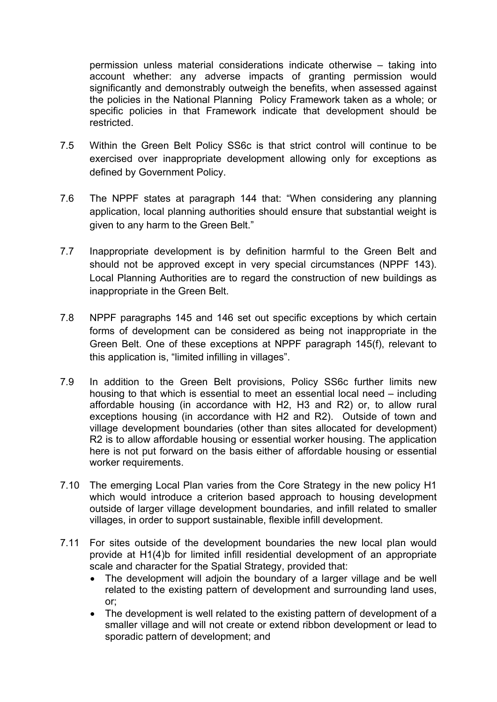permission unless material considerations indicate otherwise – taking into account whether: any adverse impacts of granting permission would significantly and demonstrably outweigh the benefits, when assessed against the policies in the National Planning Policy Framework taken as a whole; or specific policies in that Framework indicate that development should be restricted.

- 7.5 Within the Green Belt Policy SS6c is that strict control will continue to be exercised over inappropriate development allowing only for exceptions as defined by Government Policy.
- 7.6 The NPPF states at paragraph 144 that: "When considering any planning application, local planning authorities should ensure that substantial weight is given to any harm to the Green Belt."
- 7.7 Inappropriate development is by definition harmful to the Green Belt and should not be approved except in very special circumstances (NPPF 143). Local Planning Authorities are to regard the construction of new buildings as inappropriate in the Green Belt.
- 7.8 NPPF paragraphs 145 and 146 set out specific exceptions by which certain forms of development can be considered as being not inappropriate in the Green Belt. One of these exceptions at NPPF paragraph 145(f), relevant to this application is, "limited infilling in villages".
- 7.9 In addition to the Green Belt provisions, Policy SS6c further limits new housing to that which is essential to meet an essential local need – including affordable housing (in accordance with H2, H3 and R2) or, to allow rural exceptions housing (in accordance with H2 and R2). Outside of town and village development boundaries (other than sites allocated for development) R2 is to allow affordable housing or essential worker housing. The application here is not put forward on the basis either of affordable housing or essential worker requirements.
- 7.10 The emerging Local Plan varies from the Core Strategy in the new policy H1 which would introduce a criterion based approach to housing development outside of larger village development boundaries, and infill related to smaller villages, in order to support sustainable, flexible infill development.
- 7.11 For sites outside of the development boundaries the new local plan would provide at H1(4)b for limited infill residential development of an appropriate scale and character for the Spatial Strategy, provided that:
	- The development will adjoin the boundary of a larger village and be well related to the existing pattern of development and surrounding land uses, or;
	- The development is well related to the existing pattern of development of a smaller village and will not create or extend ribbon development or lead to sporadic pattern of development; and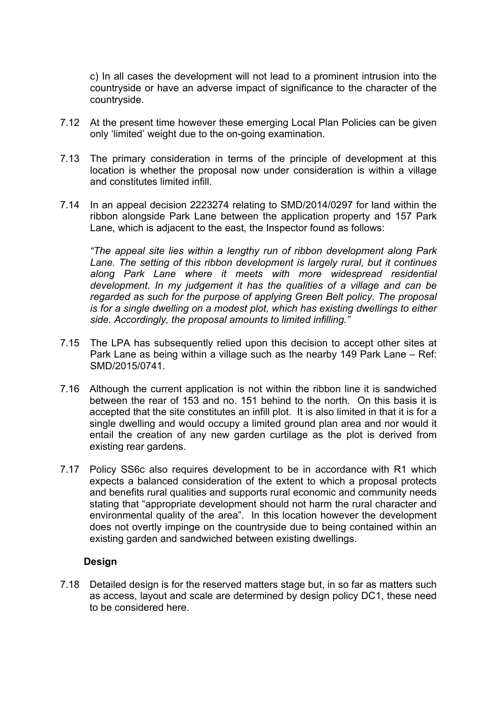c) In all cases the development will not lead to a prominent intrusion into the countryside or have an adverse impact of significance to the character of the countryside.

- 7.12 At the present time however these emerging Local Plan Policies can be given only 'limited' weight due to the on-going examination.
- 7.13 The primary consideration in terms of the principle of development at this location is whether the proposal now under consideration is within a village and constitutes limited infill.
- 7.14 In an appeal decision 2223274 relating to SMD/2014/0297 for land within the ribbon alongside Park Lane between the application property and 157 Park Lane, which is adjacent to the east, the Inspector found as follows:

*"The appeal site lies within a lengthy run of ribbon development along Park Lane. The setting of this ribbon development is largely rural, but it continues along Park Lane where it meets with more widespread residential development. In my judgement it has the qualities of a village and can be regarded as such for the purpose of applying Green Belt policy. The proposal is for a single dwelling on a modest plot, which has existing dwellings to either side. Accordingly, the proposal amounts to limited infilling."*

- 7.15 The LPA has subsequently relied upon this decision to accept other sites at Park Lane as being within a village such as the nearby 149 Park Lane – Ref: SMD/2015/0741.
- 7.16 Although the current application is not within the ribbon line it is sandwiched between the rear of 153 and no. 151 behind to the north. On this basis it is accepted that the site constitutes an infill plot. It is also limited in that it is for a single dwelling and would occupy a limited ground plan area and nor would it entail the creation of any new garden curtilage as the plot is derived from existing rear gardens.
- 7.17 Policy SS6c also requires development to be in accordance with R1 which expects a balanced consideration of the extent to which a proposal protects and benefits rural qualities and supports rural economic and community needs stating that "appropriate development should not harm the rural character and environmental quality of the area". In this location however the development does not overtly impinge on the countryside due to being contained within an existing garden and sandwiched between existing dwellings.

#### **Design**

7.18 Detailed design is for the reserved matters stage but, in so far as matters such as access, layout and scale are determined by design policy DC1, these need to be considered here.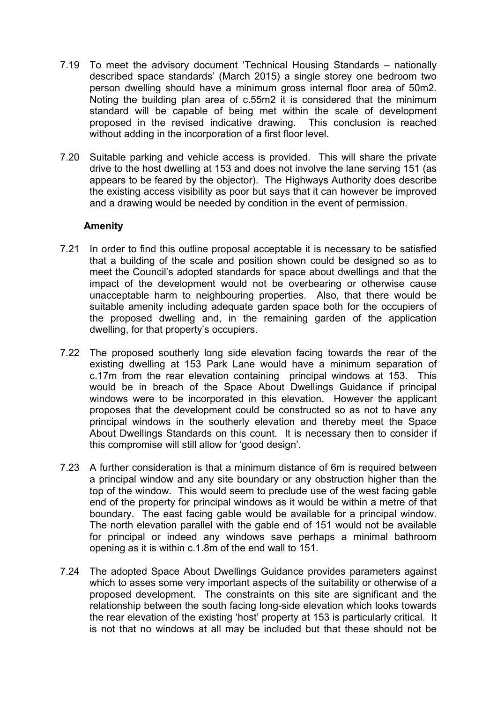- 7.19 To meet the advisory document 'Technical Housing Standards nationally described space standards' (March 2015) a single storey one bedroom two person dwelling should have a minimum gross internal floor area of 50m2. Noting the building plan area of c.55m2 it is considered that the minimum standard will be capable of being met within the scale of development proposed in the revised indicative drawing. This conclusion is reached without adding in the incorporation of a first floor level.
- 7.20 Suitable parking and vehicle access is provided. This will share the private drive to the host dwelling at 153 and does not involve the lane serving 151 (as appears to be feared by the objector). The Highways Authority does describe the existing access visibility as poor but says that it can however be improved and a drawing would be needed by condition in the event of permission.

### **Amenity**

- 7.21 In order to find this outline proposal acceptable it is necessary to be satisfied that a building of the scale and position shown could be designed so as to meet the Council's adopted standards for space about dwellings and that the impact of the development would not be overbearing or otherwise cause unacceptable harm to neighbouring properties. Also, that there would be suitable amenity including adequate garden space both for the occupiers of the proposed dwelling and, in the remaining garden of the application dwelling, for that property's occupiers.
- 7.22 The proposed southerly long side elevation facing towards the rear of the existing dwelling at 153 Park Lane would have a minimum separation of c.17m from the rear elevation containing principal windows at 153. This would be in breach of the Space About Dwellings Guidance if principal windows were to be incorporated in this elevation. However the applicant proposes that the development could be constructed so as not to have any principal windows in the southerly elevation and thereby meet the Space About Dwellings Standards on this count. It is necessary then to consider if this compromise will still allow for 'good design'.
- 7.23 A further consideration is that a minimum distance of 6m is required between a principal window and any site boundary or any obstruction higher than the top of the window. This would seem to preclude use of the west facing gable end of the property for principal windows as it would be within a metre of that boundary. The east facing gable would be available for a principal window. The north elevation parallel with the gable end of 151 would not be available for principal or indeed any windows save perhaps a minimal bathroom opening as it is within c.1.8m of the end wall to 151.
- 7.24 The adopted Space About Dwellings Guidance provides parameters against which to asses some very important aspects of the suitability or otherwise of a proposed development. The constraints on this site are significant and the relationship between the south facing long-side elevation which looks towards the rear elevation of the existing 'host' property at 153 is particularly critical. It is not that no windows at all may be included but that these should not be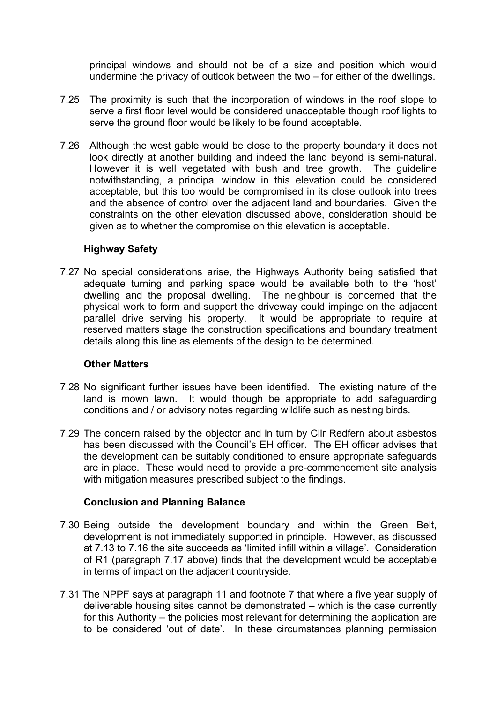principal windows and should not be of a size and position which would undermine the privacy of outlook between the two – for either of the dwellings.

- 7.25 The proximity is such that the incorporation of windows in the roof slope to serve a first floor level would be considered unacceptable though roof lights to serve the ground floor would be likely to be found acceptable.
- 7.26 Although the west gable would be close to the property boundary it does not look directly at another building and indeed the land beyond is semi-natural. However it is well vegetated with bush and tree growth. The guideline notwithstanding, a principal window in this elevation could be considered acceptable, but this too would be compromised in its close outlook into trees and the absence of control over the adjacent land and boundaries. Given the constraints on the other elevation discussed above, consideration should be given as to whether the compromise on this elevation is acceptable.

#### **Highway Safety**

7.27 No special considerations arise, the Highways Authority being satisfied that adequate turning and parking space would be available both to the 'host' dwelling and the proposal dwelling. The neighbour is concerned that the physical work to form and support the driveway could impinge on the adjacent parallel drive serving his property. It would be appropriate to require at reserved matters stage the construction specifications and boundary treatment details along this line as elements of the design to be determined.

#### **Other Matters**

- 7.28 No significant further issues have been identified. The existing nature of the land is mown lawn. It would though be appropriate to add safeguarding conditions and / or advisory notes regarding wildlife such as nesting birds.
- 7.29 The concern raised by the objector and in turn by Cllr Redfern about asbestos has been discussed with the Council's EH officer. The EH officer advises that the development can be suitably conditioned to ensure appropriate safeguards are in place. These would need to provide a pre-commencement site analysis with mitigation measures prescribed subject to the findings.

#### **Conclusion and Planning Balance**

- 7.30 Being outside the development boundary and within the Green Belt, development is not immediately supported in principle. However, as discussed at 7.13 to 7.16 the site succeeds as 'limited infill within a village'. Consideration of R1 (paragraph 7.17 above) finds that the development would be acceptable in terms of impact on the adjacent countryside.
- 7.31 The NPPF says at paragraph 11 and footnote 7 that where a five year supply of deliverable housing sites cannot be demonstrated – which is the case currently for this Authority – the policies most relevant for determining the application are to be considered 'out of date'. In these circumstances planning permission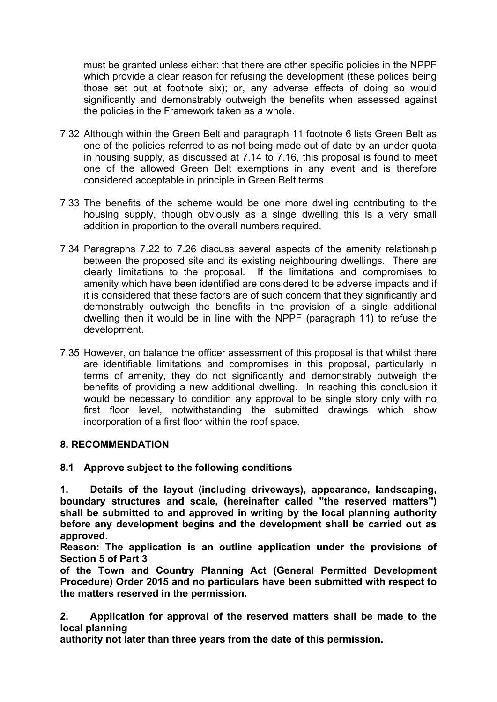must be granted unless either: that there are other specific policies in the NPPF which provide a clear reason for refusing the development (these polices being those set out at footnote six); or, any adverse effects of doing so would significantly and demonstrably outweigh the benefits when assessed against the policies in the Framework taken as a whole.

- 7.32 Although within the Green Belt and paragraph 11 footnote 6 lists Green Belt as one of the policies referred to as not being made out of date by an under quota in housing supply, as discussed at 7.14 to 7.16, this proposal is found to meet one of the allowed Green Belt exemptions in any event and is therefore considered acceptable in principle in Green Belt terms.
- 7.33 The benefits of the scheme would be one more dwelling contributing to the housing supply, though obviously as a singe dwelling this is a very small addition in proportion to the overall numbers required.
- 7.34 Paragraphs 7.22 to 7.26 discuss several aspects of the amenity relationship between the proposed site and its existing neighbouring dwellings. There are clearly limitations to the proposal. If the limitations and compromises to amenity which have been identified are considered to be adverse impacts and if it is considered that these factors are of such concern that they significantly and demonstrably outweigh the benefits in the provision of a single additional dwelling then it would be in line with the NPPF (paragraph 11) to refuse the development.
- 7.35 However, on balance the officer assessment of this proposal is that whilst there are identifiable limitations and compromises in this proposal, particularly in terms of amenity, they do not significantly and demonstrably outweigh the benefits of providing a new additional dwelling. In reaching this conclusion it would be necessary to condition any approval to be single story only with no first floor level, notwithstanding the submitted drawings which show incorporation of a first floor within the roof space.

## **8. RECOMMENDATION**

#### **8.1 Approve subject to the following conditions**

**1. Details of the layout (including driveways), appearance, landscaping, boundary structures and scale, (hereinafter called "the reserved matters") shall be submitted to and approved in writing by the local planning authority before any development begins and the development shall be carried out as approved.**

**Reason: The application is an outline application under the provisions of Section 5 of Part 3**

**of the Town and Country Planning Act (General Permitted Development Procedure) Order 2015 and no particulars have been submitted with respect to the matters reserved in the permission.**

**2. Application for approval of the reserved matters shall be made to the local planning**

**authority not later than three years from the date of this permission.**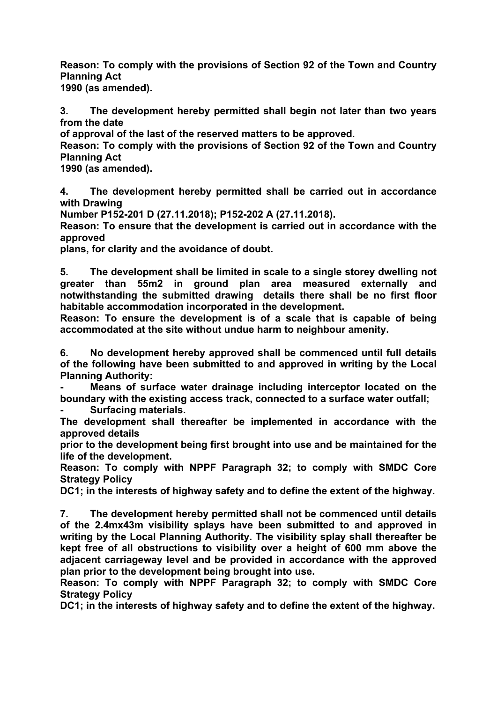**Reason: To comply with the provisions of Section 92 of the Town and Country Planning Act**

**1990 (as amended).**

**3. The development hereby permitted shall begin not later than two years from the date**

**of approval of the last of the reserved matters to be approved.**

**Reason: To comply with the provisions of Section 92 of the Town and Country Planning Act**

**1990 (as amended).**

**4. The development hereby permitted shall be carried out in accordance with Drawing**

**Number P152-201 D (27.11.2018); P152-202 A (27.11.2018).**

**Reason: To ensure that the development is carried out in accordance with the approved**

**plans, for clarity and the avoidance of doubt.**

**5. The development shall be limited in scale to a single storey dwelling not greater than 55m2 in ground plan area measured externally and notwithstanding the submitted drawing details there shall be no first floor habitable accommodation incorporated in the development.**

**Reason: To ensure the development is of a scale that is capable of being accommodated at the site without undue harm to neighbour amenity.**

**6. No development hereby approved shall be commenced until full details of the following have been submitted to and approved in writing by the Local Planning Authority:**

**- Means of surface water drainage including interceptor located on the boundary with the existing access track, connected to a surface water outfall;**

**- Surfacing materials.**

**The development shall thereafter be implemented in accordance with the approved details**

**prior to the development being first brought into use and be maintained for the life of the development.**

**Reason: To comply with NPPF Paragraph 32; to comply with SMDC Core Strategy Policy**

**DC1; in the interests of highway safety and to define the extent of the highway.**

**7. The development hereby permitted shall not be commenced until details of the 2.4mx43m visibility splays have been submitted to and approved in writing by the Local Planning Authority. The visibility splay shall thereafter be kept free of all obstructions to visibility over a height of 600 mm above the adjacent carriageway level and be provided in accordance with the approved plan prior to the development being brought into use.**

**Reason: To comply with NPPF Paragraph 32; to comply with SMDC Core Strategy Policy**

**DC1; in the interests of highway safety and to define the extent of the highway.**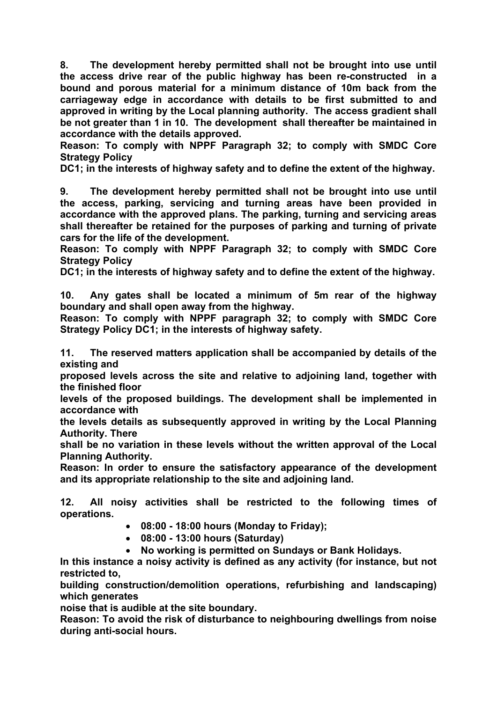**8. The development hereby permitted shall not be brought into use until the access drive rear of the public highway has been re-constructed in a bound and porous material for a minimum distance of 10m back from the carriageway edge in accordance with details to be first submitted to and approved in writing by the Local planning authority. The access gradient shall be not greater than 1 in 10. The development shall thereafter be maintained in accordance with the details approved.**

**Reason: To comply with NPPF Paragraph 32; to comply with SMDC Core Strategy Policy**

**DC1; in the interests of highway safety and to define the extent of the highway.**

**9. The development hereby permitted shall not be brought into use until the access, parking, servicing and turning areas have been provided in accordance with the approved plans. The parking, turning and servicing areas shall thereafter be retained for the purposes of parking and turning of private cars for the life of the development.**

**Reason: To comply with NPPF Paragraph 32; to comply with SMDC Core Strategy Policy**

**DC1; in the interests of highway safety and to define the extent of the highway.**

**10. Any gates shall be located a minimum of 5m rear of the highway boundary and shall open away from the highway.**

**Reason: To comply with NPPF paragraph 32; to comply with SMDC Core Strategy Policy DC1; in the interests of highway safety.**

**11. The reserved matters application shall be accompanied by details of the existing and**

**proposed levels across the site and relative to adjoining land, together with the finished floor**

**levels of the proposed buildings. The development shall be implemented in accordance with**

**the levels details as subsequently approved in writing by the Local Planning Authority. There**

**shall be no variation in these levels without the written approval of the Local Planning Authority.**

**Reason: In order to ensure the satisfactory appearance of the development and its appropriate relationship to the site and adjoining land.**

**12. All noisy activities shall be restricted to the following times of operations.**

- **08:00 - 18:00 hours (Monday to Friday);**
- **08:00 - 13:00 hours (Saturday)**
- **No working is permitted on Sundays or Bank Holidays.**

**In this instance a noisy activity is defined as any activity (for instance, but not restricted to,**

**building construction/demolition operations, refurbishing and landscaping) which generates**

**noise that is audible at the site boundary.**

**Reason: To avoid the risk of disturbance to neighbouring dwellings from noise during anti-social hours.**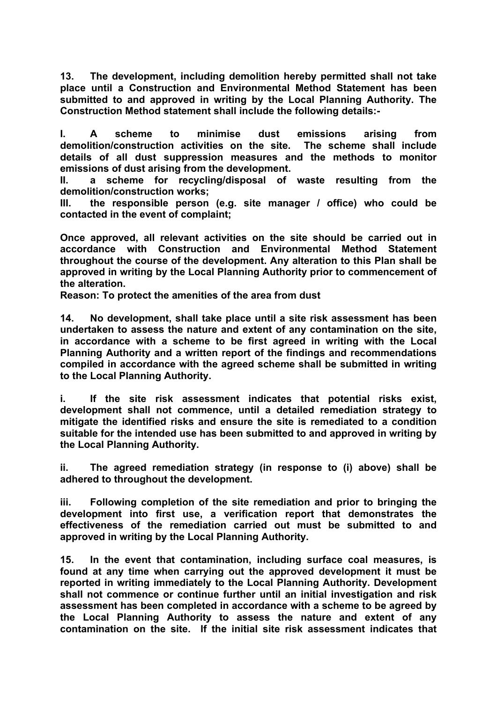**13. The development, including demolition hereby permitted shall not take place until a Construction and Environmental Method Statement has been submitted to and approved in writing by the Local Planning Authority. The Construction Method statement shall include the following details:-**

**I. A scheme to minimise dust emissions arising from demolition/construction activities on the site. The scheme shall include details of all dust suppression measures and the methods to monitor emissions of dust arising from the development.** 

**II. a scheme for recycling/disposal of waste resulting from the demolition/construction works;**

**III. the responsible person (e.g. site manager / office) who could be contacted in the event of complaint;**

**Once approved, all relevant activities on the site should be carried out in accordance with Construction and Environmental Method Statement throughout the course of the development. Any alteration to this Plan shall be approved in writing by the Local Planning Authority prior to commencement of the alteration.**

**Reason: To protect the amenities of the area from dust**

**14. No development, shall take place until a site risk assessment has been undertaken to assess the nature and extent of any contamination on the site, in accordance with a scheme to be first agreed in writing with the Local Planning Authority and a written report of the findings and recommendations compiled in accordance with the agreed scheme shall be submitted in writing to the Local Planning Authority.**

**i. If the site risk assessment indicates that potential risks exist, development shall not commence, until a detailed remediation strategy to mitigate the identified risks and ensure the site is remediated to a condition suitable for the intended use has been submitted to and approved in writing by the Local Planning Authority.**

**ii. The agreed remediation strategy (in response to (i) above) shall be adhered to throughout the development.** 

**iii. Following completion of the site remediation and prior to bringing the development into first use, a verification report that demonstrates the effectiveness of the remediation carried out must be submitted to and approved in writing by the Local Planning Authority.**

**15. In the event that contamination, including surface coal measures, is found at any time when carrying out the approved development it must be reported in writing immediately to the Local Planning Authority. Development shall not commence or continue further until an initial investigation and risk assessment has been completed in accordance with a scheme to be agreed by the Local Planning Authority to assess the nature and extent of any contamination on the site. If the initial site risk assessment indicates that**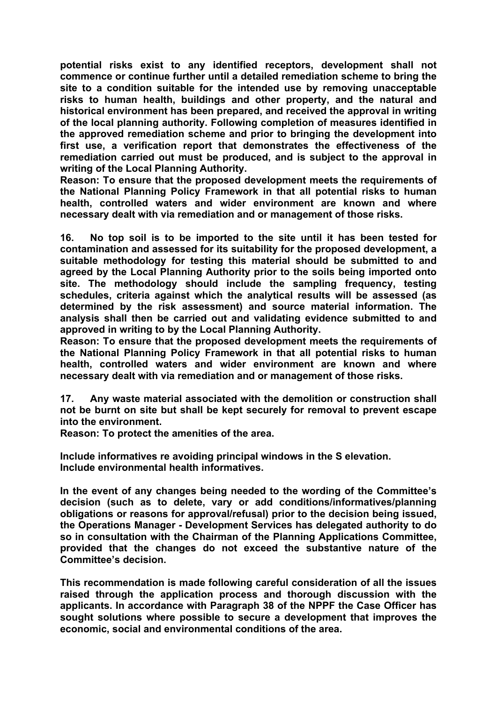**potential risks exist to any identified receptors, development shall not commence or continue further until a detailed remediation scheme to bring the site to a condition suitable for the intended use by removing unacceptable risks to human health, buildings and other property, and the natural and historical environment has been prepared, and received the approval in writing of the local planning authority. Following completion of measures identified in the approved remediation scheme and prior to bringing the development into first use, a verification report that demonstrates the effectiveness of the remediation carried out must be produced, and is subject to the approval in writing of the Local Planning Authority.**

**Reason: To ensure that the proposed development meets the requirements of the National Planning Policy Framework in that all potential risks to human health, controlled waters and wider environment are known and where necessary dealt with via remediation and or management of those risks.**

**16. No top soil is to be imported to the site until it has been tested for contamination and assessed for its suitability for the proposed development, a suitable methodology for testing this material should be submitted to and agreed by the Local Planning Authority prior to the soils being imported onto site. The methodology should include the sampling frequency, testing schedules, criteria against which the analytical results will be assessed (as determined by the risk assessment) and source material information. The analysis shall then be carried out and validating evidence submitted to and approved in writing to by the Local Planning Authority.**

**Reason: To ensure that the proposed development meets the requirements of the National Planning Policy Framework in that all potential risks to human health, controlled waters and wider environment are known and where necessary dealt with via remediation and or management of those risks.**

**17. Any waste material associated with the demolition or construction shall not be burnt on site but shall be kept securely for removal to prevent escape into the environment.**

**Reason: To protect the amenities of the area.**

**Include informatives re avoiding principal windows in the S elevation. Include environmental health informatives.**

**In the event of any changes being needed to the wording of the Committee's decision (such as to delete, vary or add conditions/informatives/planning obligations or reasons for approval/refusal) prior to the decision being issued, the Operations Manager - Development Services has delegated authority to do so in consultation with the Chairman of the Planning Applications Committee, provided that the changes do not exceed the substantive nature of the Committee's decision.**

**This recommendation is made following careful consideration of all the issues raised through the application process and thorough discussion with the applicants. In accordance with Paragraph 38 of the NPPF the Case Officer has sought solutions where possible to secure a development that improves the economic, social and environmental conditions of the area.**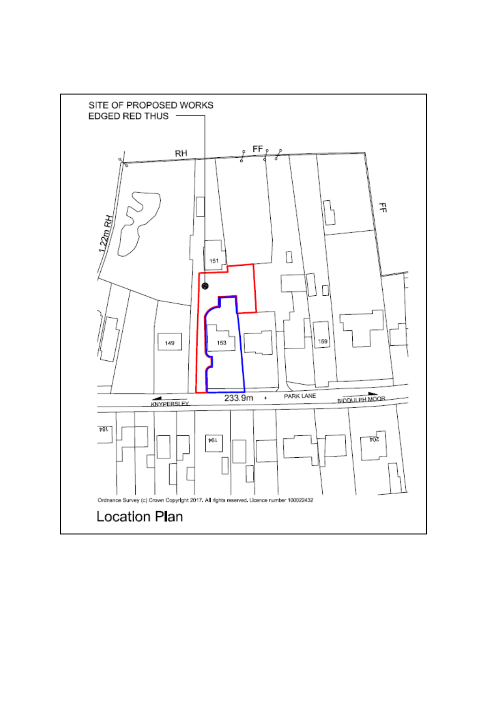